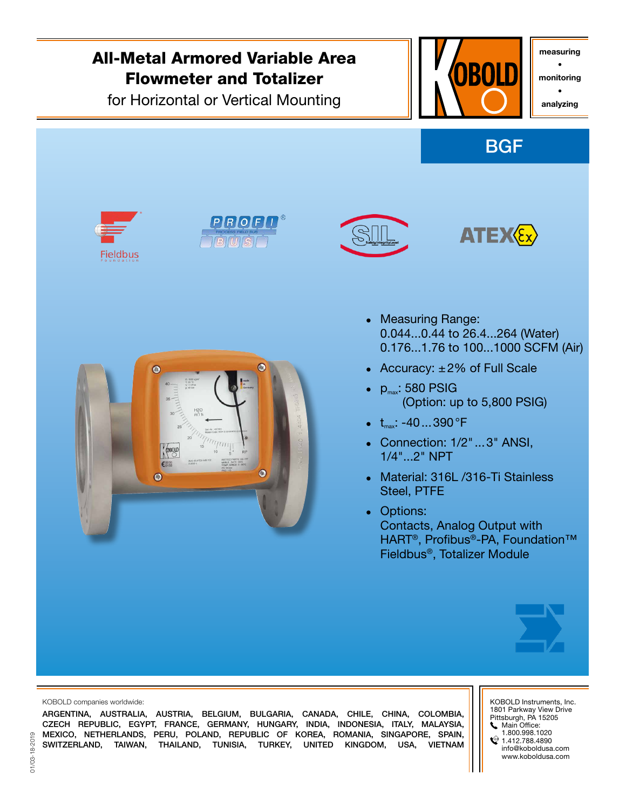

MEXICO, NETHERLANDS, PERU, POLAND, REPUBLIC OF KOREA, ROMANIA, SINGAPORE, SPAIN, SWITZERLAND, TAIWAN, THAILAND, TUNISIA, TURKEY, UNITED KINGDOM, USA, VIETNAM 1.800.998.1020

 $21.412.788.4890$ info@koboldusa.com www.koboldusa.com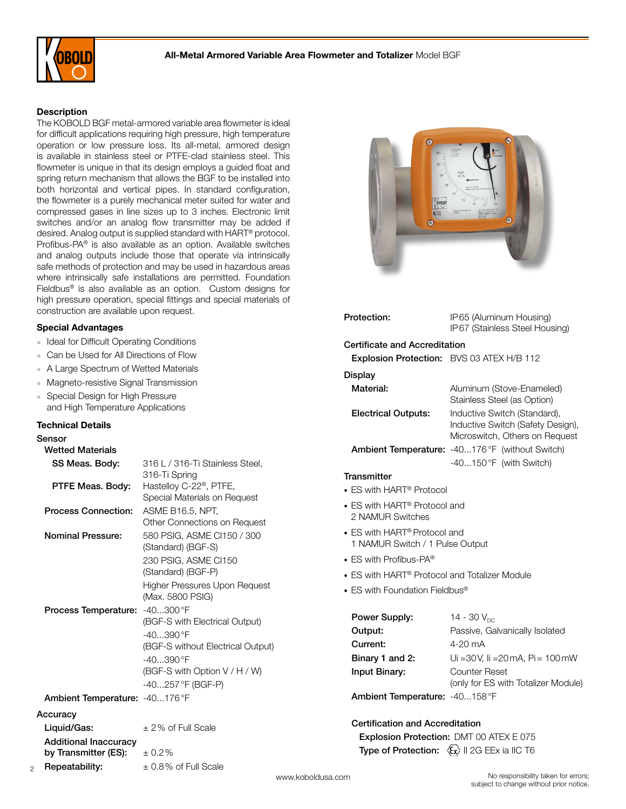

### **Description**

The KOBOLD BGF metal-armored variable area flowmeter is ideal for difficult applications requiring high pressure, high temperature operation or low pressure loss. Its all-metal, armored design is available in stainless steel or PTFE-clad stainless steel. This flowmeter is unique in that its design employs a guided float and spring return mechanism that allows the BGF to be installed into both horizontal and vertical pipes. In standard configuration, the flowmeter is a purely mechanical meter suited for water and compressed gases in line sizes up to 3 inches. Electronic limit switches and/or an analog flow transmitter may be added if desired. Analog output is supplied standard with HART® protocol. Profibus-PA® is also available as an option. Available switches and analog outputs include those that operate via intrinsically safe methods of protection and may be used in hazardous areas where intrinsically safe installations are permitted. Foundation Fieldbus<sup>®</sup> is also available as an option. Custom designs for high pressure operation, special fittings and special materials of construction are available upon request.

### Special Advantages

- Ideal for Difficult Operating Conditions
- Can be Used for All Directions of Flow
- A Large Spectrum of Wetted Materials
- Magneto-resistive Signal Transmission
- Special Design for High Pressure and High Temperature Applications

by Transmitter (ES):  $\pm 0.2\%$ 

**Repeatability:**  $\pm 0.8\%$  of Full Scale

#### Technical Details

### Sensor

2

| <b>Wetted Materials</b> |
|-------------------------|
|                         |

| SS Meas. Body:<br>PTFE Meas. Body: | 316 L / 316-Ti Stainless Steel,<br>316-Ti Spring<br>Hastelloy C-22 <sup>®</sup> , PTFE, |
|------------------------------------|-----------------------------------------------------------------------------------------|
|                                    | Special Materials on Request                                                            |
| <b>Process Connection:</b>         | ASME B16.5, NPT,<br>Other Connections on Request                                        |
| <b>Nominal Pressure:</b>           | 580 PSIG, ASME CI150 / 300<br>(Standard) (BGF-S)                                        |
|                                    | 230 PSIG, ASME CI150<br>(Standard) (BGF-P)                                              |
|                                    | Higher Pressures Upon Request<br>(Max. 5800 PSIG)                                       |
| Process Temperature:               | $-40300$ °F                                                                             |
|                                    | (BGF-S with Electrical Output)                                                          |
|                                    | $-40390$ °F                                                                             |
|                                    | (BGF-S without Electrical Output)                                                       |
|                                    | $-40390$ °F                                                                             |
|                                    | (BGF-S with Option V / H / W)                                                           |
|                                    | -40257 °F (BGF-P)                                                                       |
| Ambient Temperature: -40176°F      |                                                                                         |
| Accuracv                           |                                                                                         |
| Liquid/Gas:                        | $\pm$ 2% of Full Scale                                                                  |
| <b>Additional Inaccuracv</b>       |                                                                                         |



| Protection:                                                                 | IP65 (Aluminum Housing)<br>IP67 (Stainless Steel Housing)                                           |  |  |
|-----------------------------------------------------------------------------|-----------------------------------------------------------------------------------------------------|--|--|
| Certificate and Accreditation                                               |                                                                                                     |  |  |
| Explosion Protection: BVS 03 ATEX H/B 112                                   |                                                                                                     |  |  |
| Display                                                                     |                                                                                                     |  |  |
| Material:                                                                   | Aluminum (Stove-Enameled)<br>Stainless Steel (as Option)                                            |  |  |
| <b>Electrical Outputs:</b>                                                  | Inductive Switch (Standard),<br>Inductive Switch (Safety Design),<br>Microswitch, Others on Request |  |  |
|                                                                             | Ambient Temperature: -40176°F (without Switch)                                                      |  |  |
|                                                                             | $-40150$ °F (with Switch)                                                                           |  |  |
| Transmitter                                                                 |                                                                                                     |  |  |
| • ES with HART <sup>®</sup> Protocol                                        |                                                                                                     |  |  |
| • ES with HART® Protocol and<br>2 NAMUR Switches                            |                                                                                                     |  |  |
| • ES with HART <sup>®</sup> Protocol and<br>1 NAMUR Switch / 1 Pulse Output |                                                                                                     |  |  |
| • ES with Profibus-PA®                                                      |                                                                                                     |  |  |
| • ES with HART <sup>®</sup> Protocol and Totalizer Module                   |                                                                                                     |  |  |
| • ES with Foundation Fieldbus®                                              |                                                                                                     |  |  |
| Power Supply:                                                               | 14 - 30 $V_{nc}$                                                                                    |  |  |
| Output:                                                                     | Passive, Galvanically Isolated                                                                      |  |  |
| Current:                                                                    | $4-20$ mA                                                                                           |  |  |
| Binary 1 and 2:                                                             | Ui = 30 V, Ii = 20 mA, Pi = $100$ mW                                                                |  |  |
| Input Binary:                                                               | Counter Reset<br>(only for ES with Totalizer Module)                                                |  |  |
| Ambient Temperature: - 40158°F                                              |                                                                                                     |  |  |
| Certification and Accreditation                                             |                                                                                                     |  |  |

 Explosion Protection: DMT 00 ATEX E 075 Type of Protection:  $\langle \overline{\xi_x} \rangle$  II 2G EEx ia IIC T6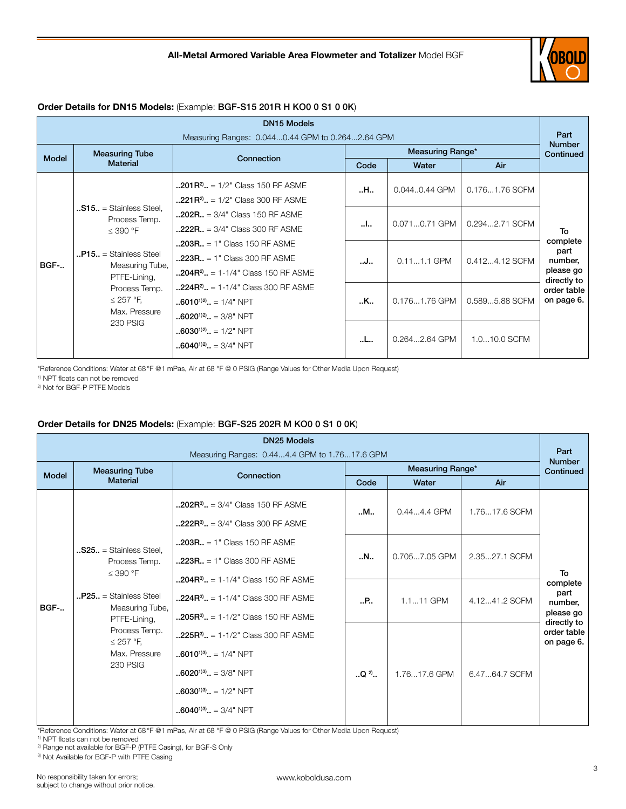

# Order Details for DN15 Models: (Example: BGF-S15 201R H KO0 0 S1 0 0K)

| <b>DN15 Models</b>                               |                                                                     |                                                                                                                                        |                  |               |                |                                                         |
|--------------------------------------------------|---------------------------------------------------------------------|----------------------------------------------------------------------------------------------------------------------------------------|------------------|---------------|----------------|---------------------------------------------------------|
| Measuring Ranges: 0.0440.44 GPM to 0.2642.64 GPM |                                                                     |                                                                                                                                        |                  |               |                | Part<br><b>Number</b>                                   |
| <b>Model</b>                                     | <b>Measuring Tube</b>                                               | Connection                                                                                                                             | Measuring Range* |               |                | Continued                                               |
|                                                  | <b>Material</b>                                                     |                                                                                                                                        | Code             | Water         | Air            |                                                         |
|                                                  |                                                                     | $\textbf{0.201R}^2$ = 1/2" Class 150 RF ASME<br>$\textbf{0.221R}^2$ = 1/2" Class 300 RF ASME                                           | H                | 0.0440.44 GPM | 0.1761.76 SCFM |                                                         |
|                                                  | $.515. =$ Stainless Steel.<br>Process Temp.<br>$\leq$ 390 °F        | $.202R. = 3/4"$ Class 150 RF ASME<br>$.222R. = 3/4"$ Class 300 RF ASME                                                                 | I                | 0.0710.71 GPM | 0.2942.71 SCFM | To                                                      |
| <b>BGF-</b>                                      | $P15. =$ Stainless Steel<br>Measuring Tube,<br>PTFE-Lining,         | $.203R. = 1$ " Class 150 RF ASME<br>$.223R. = 1$ " Class 300 RF ASME<br>$\ldots$ 204R <sup>2</sup> $\ldots$ = 1-1/4" Class 150 RF ASME | J                | $0.111.1$ GPM | 0.4124.12 SCFM | complete<br>part<br>number,<br>please go<br>directly to |
|                                                  | Process Temp.<br>$\leq$ 257 °F,<br>Max. Pressure<br><b>230 PSIG</b> | $.224R^2$ = 1-1/4" Class 300 RF ASME<br>$6010^{1/2}$ = 1/4" NPT<br>$.6020^{1/2}$ $= 3/8$ " NPT                                         | K                | 0.1761.76 GPM | 0.5895.88 SCFM | order table<br>on page 6.                               |
|                                                  |                                                                     | $\ldots$ 6030 <sup>1)2)</sup> $\ldots$ = 1/2" NPT<br>$\ldots$ 6040 <sup>1)2)</sup> = 3/4" NPT                                          | L                | 0.2642.64 GPM | 1.010.0 SCFM   |                                                         |

\*Reference Conditions: Water at 68°F @1 mPas, Air at 68 °F @ 0 PSIG (Range Values for Other Media Upon Request)

1) NPT floats can not be removed

2) Not for BGF-P PTFE Models

## Order Details for DN25 Models: (Example: BGF-S25 202R M KO0 0 S1 0 0K)

| <b>DN25 Models</b>                            |                                                                                                                                                                                                        |                                                                                                                                                        |                         |               |               |                                                         |
|-----------------------------------------------|--------------------------------------------------------------------------------------------------------------------------------------------------------------------------------------------------------|--------------------------------------------------------------------------------------------------------------------------------------------------------|-------------------------|---------------|---------------|---------------------------------------------------------|
| Measuring Ranges: 0.444.4 GPM to 1.7617.6 GPM |                                                                                                                                                                                                        |                                                                                                                                                        |                         |               |               | Part<br><b>Number</b>                                   |
| <b>Model</b>                                  | <b>Measuring Tube</b>                                                                                                                                                                                  | Connection                                                                                                                                             | <b>Measuring Range*</b> |               |               | Continued                                               |
|                                               | <b>Material</b>                                                                                                                                                                                        |                                                                                                                                                        | Code                    | Water         | Air           |                                                         |
| BGF-                                          | $.$ S25 $.$ = Stainless Steel.<br>Process Temp.<br>$\leq$ 390 °F<br>$P25. =$ Stainless Steel<br>Measuring Tube,<br>PTFE-Lining,<br>Process Temp.<br>$\leq$ 257 °F,<br>Max. Pressure<br><b>230 PSIG</b> | $\ldots$ 202R <sup>3</sup> $\ldots$ = 3/4" Class 150 RF ASME<br>$.222R^3$ = 3/4" Class 300 RF ASME                                                     | M                       | $0.444.4$ GPM | 1.7617.6 SCFM |                                                         |
|                                               |                                                                                                                                                                                                        | $.203R. = 1$ " Class 150 RF ASME<br>$.223R. = 1$ " Class 300 RF ASME                                                                                   | N                       | 0.7057.05 GPM | 2.3527.1 SCFM | To                                                      |
|                                               |                                                                                                                                                                                                        | $\ldots$ 204R <sup>3</sup> $\ldots$ = 1-1/4" Class 150 RF ASME<br>$.224R^{3}$ . = 1-1/4" Class 300 RF ASME<br>$.205R^{3}$ . = 1-1/2" Class 150 RF ASME | .                       | 1.111 GPM     | 4.1241.2 SCFM | complete<br>part<br>number,<br>please go<br>directly to |
|                                               |                                                                                                                                                                                                        | $.225R^3$ = 1-1/2" Class 300 RF ASME<br>$6010^{1/3}$ = 1/4" NPT<br>$.6020^{1/3}$ = 3/8" NPT<br>$.6030^{1/3}$ . = 1/2" NPT<br>$.6040^{1/3}$ = 3/4" NPT  | $. Q2$ .                | 1.7617.6 GPM  | 6.4764.7 SCFM | order table<br>on page 6.                               |

\*Reference Conditions: Water at 68°F @1 mPas, Air at 68 °F @ 0 PSIG (Range Values for Other Media Upon Request)

1) NPT floats can not be removed

2) Range not available for BGF-P (PTFE Casing), for BGF-S Only

3) Not Available for BGF-P with PTFE Casing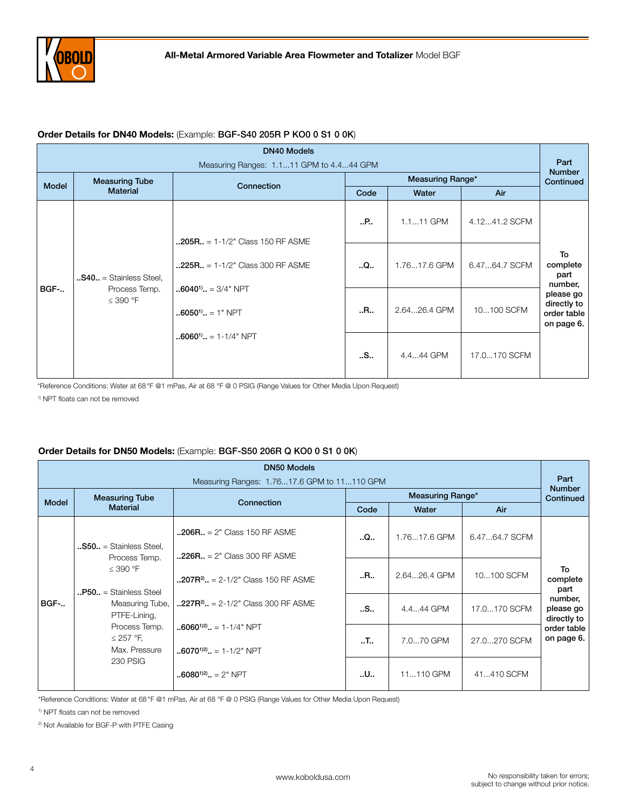

### Order Details for DN40 Models: (Example: BGF-S40 205R P KO0 0 S1 0 0K)

| <b>DN40 Models</b>                                                         |                                                                                   |                                      |              |              |                                                       |                                   |
|----------------------------------------------------------------------------|-----------------------------------------------------------------------------------|--------------------------------------|--------------|--------------|-------------------------------------------------------|-----------------------------------|
| Measuring Ranges: 1.111 GPM to 4.444 GPM                                   |                                                                                   |                                      |              |              |                                                       | Part<br><b>Number</b>             |
| <b>Model</b>                                                               | <b>Measuring Tube</b>                                                             | Connection                           |              | Continued    |                                                       |                                   |
|                                                                            | <b>Material</b>                                                                   |                                      | Code         | Water        | Air                                                   |                                   |
|                                                                            |                                                                                   | $.205R. = 1-1/2$ " Class 150 RF ASME | P            | 1.111 GPM    | 4.1241.2 SCFM                                         |                                   |
| $$ <b>S40</b> = Stainless Steel,<br>BGF-<br>Process Temp.<br>$\leq$ 390 °F |                                                                                   | $.225R. = 1-1/2" Class 300 RF ASME$  | Q            | 1.7617.6 GPM | 6.4764.7 SCFM                                         | To<br>complete<br>part<br>number, |
|                                                                            | $\cdot$ 6040 <sup>1</sup> $\cdot$ = 3/4" NPT<br>$6050$ <sup>1)</sup> $ = 1$ " NPT | R                                    | 2.6426.4 GPM | 10100 SCFM   | please go<br>directly to<br>order table<br>on page 6. |                                   |
|                                                                            |                                                                                   | $.6060$ <sup>1)</sup> $.1 - 1/4$ NPT | S            | 4.444 GPM    | 17.0170 SCFM                                          |                                   |

\*Reference Conditions: Water at 68°F @1 mPas, Air at 68 °F @ 0 PSIG (Range Values for Other Media Upon Request)

1) NPT floats can not be removed

### Order Details for DN50 Models: (Example: BGF-S50 206R Q KO0 0 S1 0 0K)

| <b>DN50 Models</b> |                                                                                                                                                                 |                                                                                  |                     |              |                                                                                     |                                     |              |            |                        |
|--------------------|-----------------------------------------------------------------------------------------------------------------------------------------------------------------|----------------------------------------------------------------------------------|---------------------|--------------|-------------------------------------------------------------------------------------|-------------------------------------|--------------|------------|------------------------|
|                    |                                                                                                                                                                 | Measuring Ranges: 1.7617.6 GPM to 11110 GPM                                      |                     |              |                                                                                     | Part<br><b>Number</b>               |              |            |                        |
| Model              | <b>Measuring Tube</b>                                                                                                                                           | Connection                                                                       |                     | Continued    |                                                                                     |                                     |              |            |                        |
|                    | <b>Material</b>                                                                                                                                                 |                                                                                  | Code                | Water        | Air                                                                                 |                                     |              |            |                        |
|                    | $.550$ = Stainless Steel,                                                                                                                                       | $.206R. = 2" Class 150 RF ASME$                                                  | Q                   | 1.7617.6 GPM | 6.4764.7 SCFM                                                                       |                                     |              |            |                        |
| <b>BGF-</b>        | $\leq$ 390 °F<br>$\mathbf{P50} = \mathbf{Stainless}\$<br>Measuring Tube,<br>PTFE-Lining,<br>Process Temp.<br>$\leq$ 257 °F,<br>Max. Pressure<br><b>230 PSIG</b> |                                                                                  | Process Temp.       |              | $.226R. = 2" Class 300 RF ASME$<br>$\textbf{0.207R}^2$ , = 2-1/2" Class 150 RF ASME | R                                   | 2.6426.4 GPM | 10100 SCFM | To<br>complete<br>part |
|                    |                                                                                                                                                                 | $\textbf{0.227R}^2$ . = 2-1/2" Class 300 RF ASME                                 | S                   | 4.444 GPM    | 17.0170 SCFM                                                                        | number,<br>please go<br>directly to |              |            |                        |
|                    |                                                                                                                                                                 | $6060^{1/2}$ = 1-1/4" NPT<br>$\ldots$ 6070 <sup>1)2)</sup> $\ldots$ = 1-1/2" NPT | $\cdot$ . T $\cdot$ | 7.070 GPM    | 27.0270 SCFM                                                                        | order table<br>on page 6.           |              |            |                        |
|                    |                                                                                                                                                                 | $6080^{1/2}$ $= 2"$ NPT                                                          | U                   | 11110 GPM    | 41410 SCFM                                                                          |                                     |              |            |                        |

\*Reference Conditions: Water at 68°F @1 mPas, Air at 68 °F @ 0 PSIG (Range Values for Other Media Upon Request)

<sup>1)</sup> NPT floats can not be removed

2) Not Available for BGF-P with PTFE Casing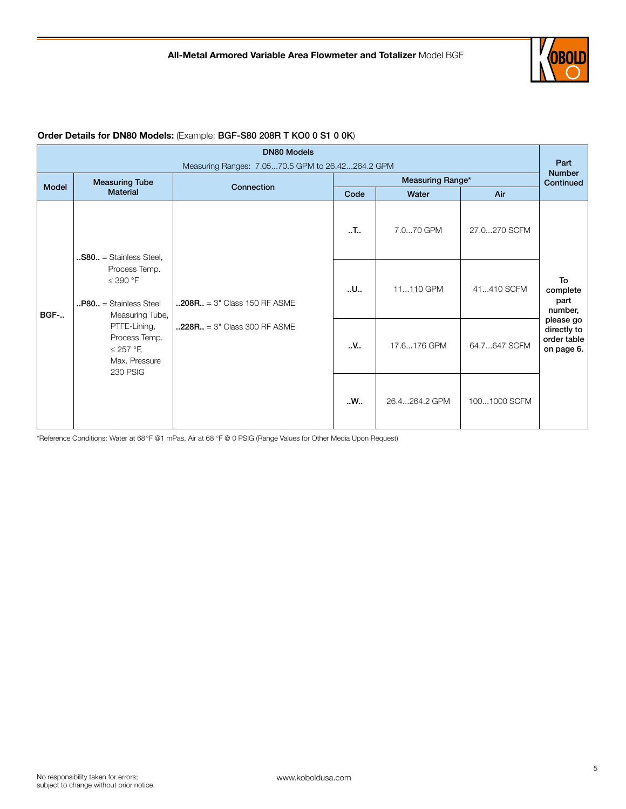

#### DN80 Models Measuring Ranges: 7.05...70.5 GPM to 26.42...264.2 GPM Part Number Continued Model Measuring Tube vering Tube the Connection Connection and Code the Measuring Range\*<br>Material Mater Mater Code Water | Air BGF-.. ..S80.. = Stainless Steel, Process Temp. ≤ 390 °F ..P80.. = Stainless Steel Measuring Tube, PTFE-Lining, Process Temp. ≤ 257 °F, Max. Pressure 230 PSIG  $.208R. = 3" Class 150 RF ASME$  $.228R. = 3" Class 300 RF ASME$  $\cdot$ .T..  $\cdot$  7.0...70 GPM 27.0...270 SCFM To complete part number, please go directly to order table on page 6.  $\mathbf{u}$ .  $\mathbf{u}$  11...110 GPM  $\parallel$  41...410 SCFM  $\mathsf{W}$ . 17.6...176 GPM  $\left| \right|$  64.7...647 SCFM ..W.. 26.4...264.2 GPM 100...1000 SCFM

# Order Details for DN80 Models: (Example: BGF-S80 208R T KO0 0 S1 0 0K)

\*Reference Conditions: Water at 68°F @1 mPas, Air at 68 °F @ 0 PSIG (Range Values for Other Media Upon Request)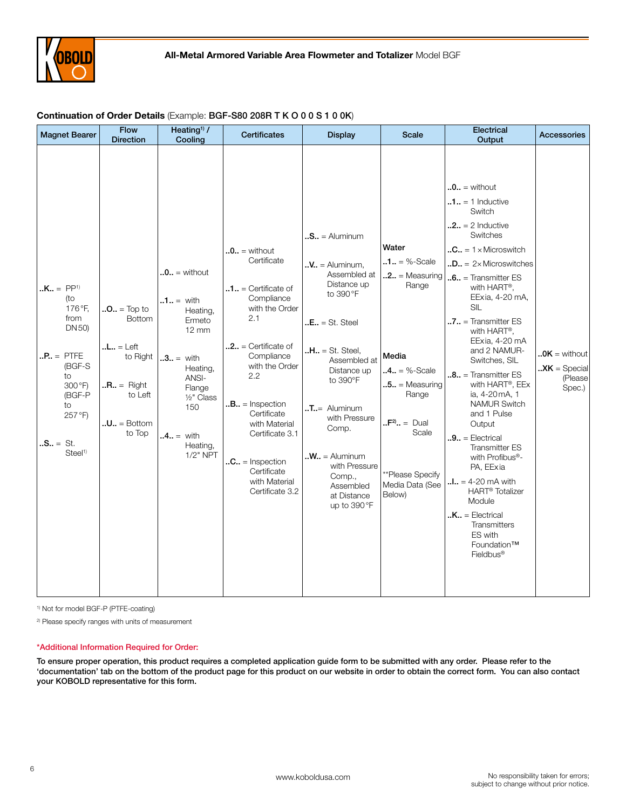

| <b>Magnet Bearer</b>                                                                                                                                      | <b>Flow</b><br><b>Direction</b>                                                                                                                      | Heating <sup>1)</sup> /<br>Cooling                                                                                                                                                               | <b>Certificates</b>                                                                                                                                                                                                                                                                                                                                                                                  | <b>Display</b>                                                                                                                                                                                                                                                                                                                                                   | <b>Scale</b>                                                                                                                                                                                                            | Electrical<br>Output                                                                                                                                                                                                                                                                                                                                                                                                                                                                                                                                                                                                                                                                                                                          | Accessories                                                                              |
|-----------------------------------------------------------------------------------------------------------------------------------------------------------|------------------------------------------------------------------------------------------------------------------------------------------------------|--------------------------------------------------------------------------------------------------------------------------------------------------------------------------------------------------|------------------------------------------------------------------------------------------------------------------------------------------------------------------------------------------------------------------------------------------------------------------------------------------------------------------------------------------------------------------------------------------------------|------------------------------------------------------------------------------------------------------------------------------------------------------------------------------------------------------------------------------------------------------------------------------------------------------------------------------------------------------------------|-------------------------------------------------------------------------------------------------------------------------------------------------------------------------------------------------------------------------|-----------------------------------------------------------------------------------------------------------------------------------------------------------------------------------------------------------------------------------------------------------------------------------------------------------------------------------------------------------------------------------------------------------------------------------------------------------------------------------------------------------------------------------------------------------------------------------------------------------------------------------------------------------------------------------------------------------------------------------------------|------------------------------------------------------------------------------------------|
| $. K. = PP1$<br>(to<br>176°F,<br>from<br>DN 50)<br>$.P., = PTFE$<br>(BGF-S<br>to<br>300°F)<br>(BGF-P<br>to<br>257°F)<br>$.S = St.$<br>Steel <sup>1)</sup> | $.0. = Top to$<br><b>Bottom</b><br>$.L., = Left$<br>to Right<br>$\mathbf{R} \cdot \mathbf{R} = \mathsf{Right}$<br>to Left<br>$.U = Bottom$<br>to Top | $\mathbf{.0.}$ = without<br>$.1. =$ with<br>Heating,<br>Ermeto<br>$12 \text{ mm}$<br>$.3. =$ with<br>Heating,<br>ANSI-<br>Flange<br>$1/2$ " Class<br>150<br>$.4. =$ with<br>Heating,<br>1/2" NPT | $\mathbf{.0.}$ = without<br>Certificate<br>$\mathbf{0} \cdot \mathbf{1} \cdot \mathbf{1} =$ Certificate of<br>Compliance<br>with the Order<br>2.1<br>$2$ = Certificate of<br>Compliance<br>with the Order<br>2.2<br>$.B., =$ Inspection<br>Certificate<br>with Material<br>Certificate 3.1<br>$\mathbf{C} \cdot \mathbf{C} = \mathsf{Inspection}$<br>Certificate<br>with Material<br>Certificate 3.2 | $\mathbf{S} \cdot \mathbf{S} = \mathbf{A}$ luminum<br>$\mathbf{N}$ . = Aluminum,<br>Assembled at<br>Distance up<br>to 390 °F<br>$E. = St. Steel$<br>$.H., = St. Steel.$<br>Assembled at<br>Distance up<br>to 390°F<br>$T =$ Aluminum<br>with Pressure<br>Comp.<br>$M_{\bullet}$ = Aluminum<br>with Pressure<br>Comp.,<br>Assembled<br>at Distance<br>up to 390°F | Water<br>$.1. = %-Scale$<br>$\mathbf{0.2.}$ = Measuring<br>Range<br>Media<br>$.4. = %-Scale$<br>$\cdot$ .5 = Measuring<br>Range<br>$\cdot \cdot F^{2} =$ Dual<br>Scale<br>**Please Specify<br>Media Data (See<br>Below) | $\mathbf{.0.}$ = without<br>$\mathbf{0.1.} = 1$ Inductive<br>Switch<br>$.2.1 = 2$ Inductive<br>Switches<br>$\mathbf{C} \cdot \mathbf{C} = 1 \times \text{Microsoft}$<br>$.D = 2 \times$ Microswitches<br>$.6. =$ Transmitter ES<br>with HART <sup>®</sup> ,<br>EExia, 4-20 mA,<br>SIL<br>7 = Transmitter ES<br>with HART®,<br>EExia, 4-20 mA<br>and 2 NAMUR-<br>Switches, SIL<br>$.8.1$ = Transmitter ES<br>with HART®, EEx<br>ia, 4-20 mA, 1<br><b>NAMUR Switch</b><br>and 1 Pulse<br>Output<br>$.9. =$ Electrical<br><b>Transmitter ES</b><br>with Profibus®-<br>PA, EExia<br>$.1. = 4 - 20$ mA with<br><b>HART<sup>®</sup></b> Totalizer<br>Module<br>$.K = Electrical$<br>Transmitters<br>ES with<br>Foundation™<br>Fieldbus <sup>®</sup> | $.0K =$ without<br>$\mathbf{X} \times \mathbf{K} = \text{Special}$<br>(Please)<br>Spec.) |

## Continuation of Order Details (Example: BGF-S80 208R T K O 0 0 S 1 0 0K)

1) Not for model BGF-P (PTFE-coating)

2) Please specify ranges with units of measurement

### \*Additional Information Required for Order:

To ensure proper operation, this product requires a completed application guide form to be submitted with any order. Please refer to the 'documentation' tab on the bottom of the product page for this product on our website in order to obtain the correct form. You can also contact your KOBOLD representative for this form.